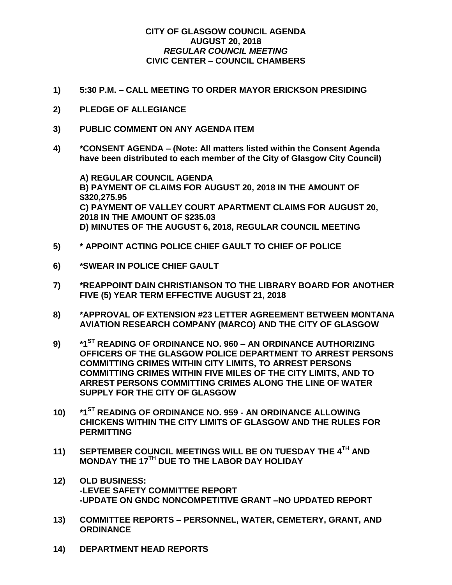## **CITY OF GLASGOW COUNCIL AGENDA AUGUST 20, 2018** *REGULAR COUNCIL MEETING* **CIVIC CENTER – COUNCIL CHAMBERS**

- **1) 5:30 P.M. – CALL MEETING TO ORDER MAYOR ERICKSON PRESIDING**
- **2) PLEDGE OF ALLEGIANCE**
- **3) PUBLIC COMMENT ON ANY AGENDA ITEM**
- **4) \*CONSENT AGENDA – (Note: All matters listed within the Consent Agenda have been distributed to each member of the City of Glasgow City Council)**

**A) REGULAR COUNCIL AGENDA B) PAYMENT OF CLAIMS FOR AUGUST 20, 2018 IN THE AMOUNT OF \$320,275.95 C) PAYMENT OF VALLEY COURT APARTMENT CLAIMS FOR AUGUST 20, 2018 IN THE AMOUNT OF \$235.03 D) MINUTES OF THE AUGUST 6, 2018, REGULAR COUNCIL MEETING**

- **5) \* APPOINT ACTING POLICE CHIEF GAULT TO CHIEF OF POLICE**
- **6) \*SWEAR IN POLICE CHIEF GAULT**
- **7) \*REAPPOINT DAIN CHRISTIANSON TO THE LIBRARY BOARD FOR ANOTHER FIVE (5) YEAR TERM EFFECTIVE AUGUST 21, 2018**
- **8) \*APPROVAL OF EXTENSION #23 LETTER AGREEMENT BETWEEN MONTANA AVIATION RESEARCH COMPANY (MARCO) AND THE CITY OF GLASGOW**
- **9) \*1ST READING OF ORDINANCE NO. 960 – AN ORDINANCE AUTHORIZING OFFICERS OF THE GLASGOW POLICE DEPARTMENT TO ARREST PERSONS COMMITTING CRIMES WITHIN CITY LIMITS, TO ARREST PERSONS COMMITTING CRIMES WITHIN FIVE MILES OF THE CITY LIMITS, AND TO ARREST PERSONS COMMITTING CRIMES ALONG THE LINE OF WATER SUPPLY FOR THE CITY OF GLASGOW**
- **10) \*1ST READING OF ORDINANCE NO. 959 - AN ORDINANCE ALLOWING CHICKENS WITHIN THE CITY LIMITS OF GLASGOW AND THE RULES FOR PERMITTING**
- **11) SEPTEMBER COUNCIL MEETINGS WILL BE ON TUESDAY THE 4TH AND MONDAY THE 17TH DUE TO THE LABOR DAY HOLIDAY**
- **12) OLD BUSINESS: -LEVEE SAFETY COMMITTEE REPORT -UPDATE ON GNDC NONCOMPETITIVE GRANT –NO UPDATED REPORT**
- **13) COMMITTEE REPORTS – PERSONNEL, WATER, CEMETERY, GRANT, AND ORDINANCE**
- **14) DEPARTMENT HEAD REPORTS**